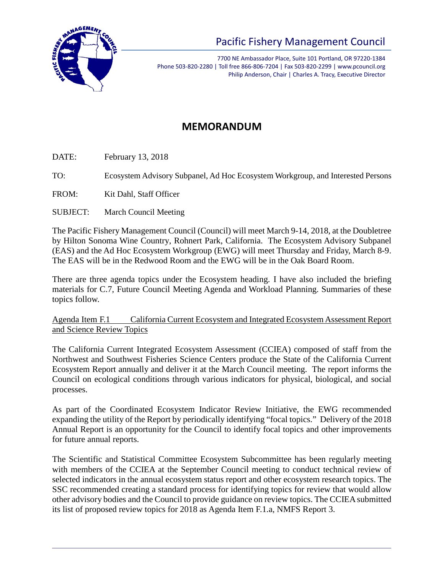

# Pacific Fishery Management Council

7700 NE Ambassador Place, Suite 101 Portland, OR 97220-1384 Phone 503-820-2280 | Toll free 866-806-7204 | Fax 503-820-2299 | www.pcouncil.org Philip Anderson, Chair | Charles A. Tracy, Executive Director

## **MEMORANDUM**

DATE: February 13, 2018

TO: Ecosystem Advisory Subpanel, Ad Hoc Ecosystem Workgroup, and Interested Persons

FROM: Kit Dahl, Staff Officer

SUBJECT: March Council Meeting

The Pacific Fishery Management Council (Council) will meet March 9-14, 2018, at the Doubletree by Hilton Sonoma Wine Country, Rohnert Park, California. The Ecosystem Advisory Subpanel (EAS) and the Ad Hoc Ecosystem Workgroup (EWG) will meet Thursday and Friday, March 8-9. The EAS will be in the Redwood Room and the EWG will be in the Oak Board Room.

There are three agenda topics under the Ecosystem heading. I have also included the briefing materials for C.7, Future Council Meeting Agenda and Workload Planning. Summaries of these topics follow.

Agenda Item F.1 California Current Ecosystem and Integrated Ecosystem Assessment Report and Science Review Topics

The California Current Integrated Ecosystem Assessment (CCIEA) composed of staff from the Northwest and Southwest Fisheries Science Centers produce the State of the California Current Ecosystem Report annually and deliver it at the March Council meeting. The report informs the Council on ecological conditions through various indicators for physical, biological, and social processes.

As part of the Coordinated Ecosystem Indicator Review Initiative, the EWG recommended expanding the utility of the Report by periodically identifying "focal topics." Delivery of the 2018 Annual Report is an opportunity for the Council to identify focal topics and other improvements for future annual reports.

The Scientific and Statistical Committee Ecosystem Subcommittee has been regularly meeting with members of the CCIEA at the September Council meeting to conduct technical review of selected indicators in the annual ecosystem status report and other ecosystem research topics. The SSC recommended creating a standard process for identifying topics for review that would allow other advisory bodies and the Council to provide guidance on review topics. The CCIEA submitted its list of proposed review topics for 2018 as Agenda Item F.1.a, NMFS Report 3.